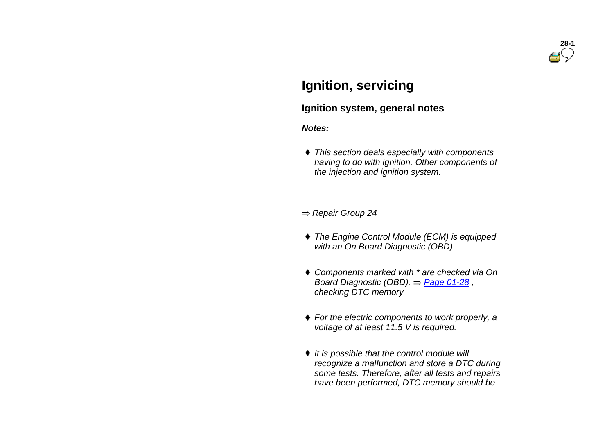

## **Ignition, servicing**

#### **Ignition system, general notes**

#### *Notes:*

 *This section deals especially with components having to do with ignition. Other components of the injection and ignition system.*

#### *Repair Group 24*

- *The Engine Control Module (ECM) is equipped with an On Board Diagnostic (OBD)*
- *Components marked with \* are checked via On Board Diagnostic (OBD).*  $\Rightarrow$  *Page 01-28*, *checking DTC memory*
- *For the electric components to work properly, a voltage of at least 11.5 V is required.*
- *It is possible that the control module will recognize a malfunction and store a DTC during some tests. Therefore, after all tests and repairs have been performed, DTC memory should be*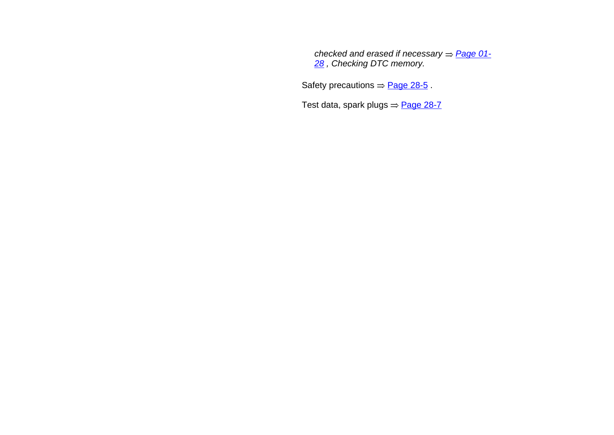*checked and erased if necessary*  $=$  *Page 01-28 , Checking DTC memory.*

Safety precautions  $\Rightarrow$  Page 28-5.

Test data, spark plugs  $\Rightarrow$  Page 28-7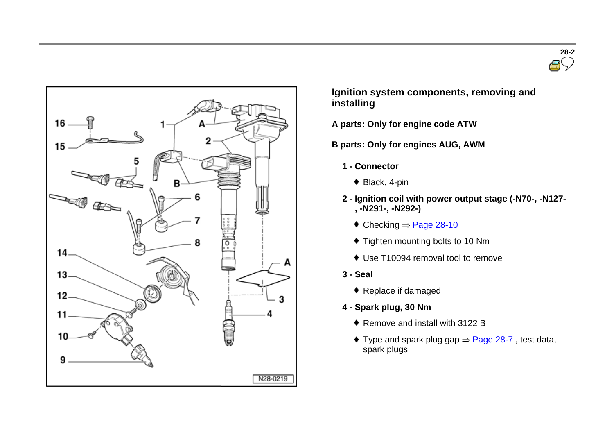



 **Ignition system components, removing and installing**

- **A parts: Only for engine code ATW**
- **B parts: Only for engines AUG, AWM** 
	- **1 - Connector**
		- ◆ Black, 4-pin
	- **2 - Ignition coil with power output stage (-N70-, -N127- , -N291-, -N292-)**
		- $\bullet$  Checking  $\Rightarrow$  Page 28-10
		- $\bullet$  Tighten mounting bolts to 10 Nm
		- Use T10094 removal tool to remove
	- **3 - Seal**
		- ◆ Replace if damaged
	- **4 - Spark plug, 30 Nm**
		- ◆ Remove and install with 3122 B
		- Type and spark plug gap  $\Rightarrow$  Page 28-7, test data, spark plugs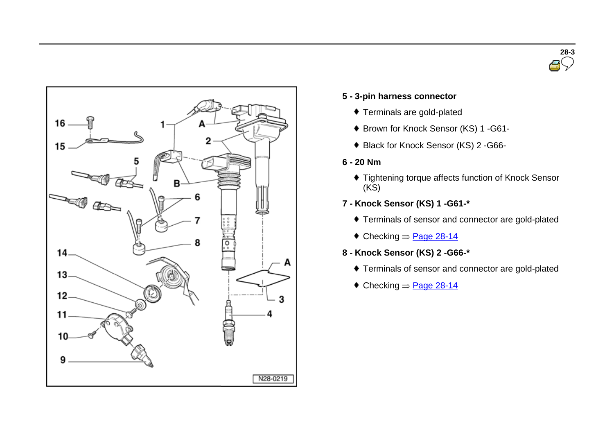



#### **5 - 3-pin harness connector**

- Terminals are gold-plated
- Brown for Knock Sensor (KS) 1 -G61-
- ◆ Black for Knock Sensor (KS) 2 G66-
- **6 - 20 Nm**
	- Tightening torque affects function of Knock Sensor  $(KS)$
- **7 - Knock Sensor (KS) 1 -G61-\***
	- Terminals of sensor and connector are gold-plated
	- $\text{Checking} = \text{Page } 28-14$
- **8 - Knock Sensor (KS) 2 -G66-\***
	- Terminals of sensor and connector are gold-plated
	- $\bullet$  Checking  $\Rightarrow$  Page 28-14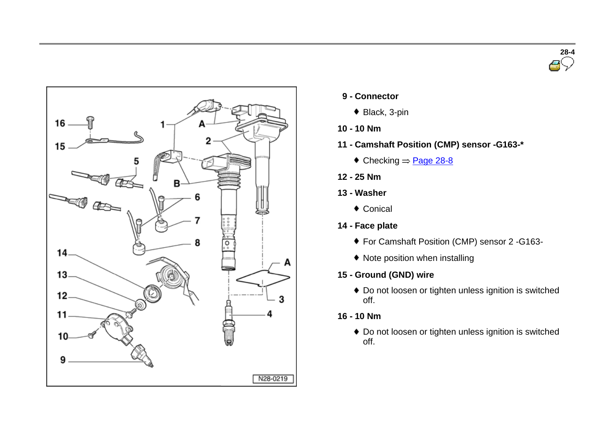



- **9 - Connector**
	- ◆ Black, 3-pin
- **10 - 10 Nm**
- **11 - Camshaft Position (CMP) sensor -G163-\***
	- $\textcolor{blue}{\blacklozenge}$  Checking  $=$  Page 28-8
- **12 - 25 Nm**
- **13 - Washer**
	- ◆ Conical
- **14 - Face plate**
	- For Camshaft Position (CMP) sensor 2 -G163-
	- Note position when installing
- **15 - Ground (GND) wire**
	- Do not loosen or tighten unless ignition is switched off.
- **16 - 10 Nm**
	- Do not loosen or tighten unless ignition is switched off.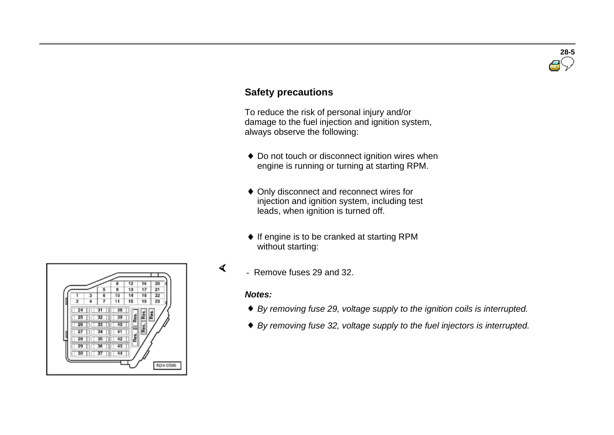# **28-5**

### **Safety precautions**

 To reduce the risk of personal injury and/or damage to the fuel injection and ignition system, always observe the following:

- ◆ Do not touch or disconnect ignition wires when engine is running or turning at starting RPM.
- Only disconnect and reconnect wires for injection and ignition system, including test leads, when ignition is turned off.
- $\bullet$  If engine is to be cranked at starting RPM without starting:
- Remove fuses 29 and 32.

#### *Notes:*

 $\blacktriangleleft$ 

- *By removing fuse 29, voltage supply to the ignition coils is interrupted.*
- *By removing fuse 32, voltage supply to the fuel injectors is interrupted.*

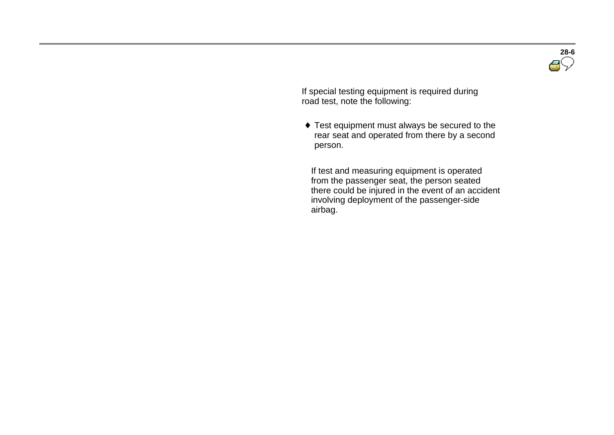**28-6**

 If special testing equipment is required during road test, note the following:

 Test equipment must always be secured to the rear seat and operated from there by a second person.

 If test and measuring equipment is operated from the passenger seat, the person seated there could be injured in the event of an accident involving deployment of the passenger-side airbag.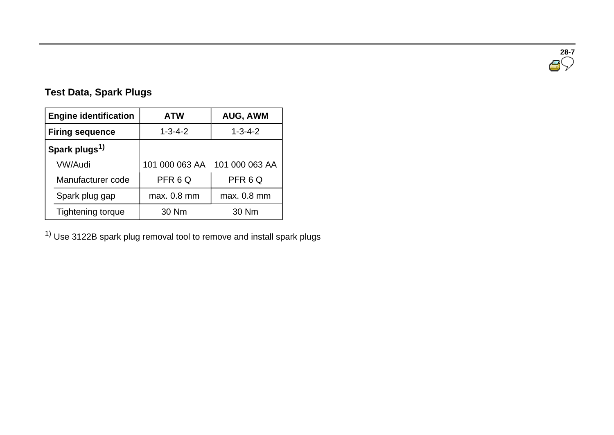**28-7**<br>● √

## **Test Data, Spark Plugs**

| <b>Engine identification</b> |                          | <b>ATW</b>      | <b>AUG, AWM</b> |  |
|------------------------------|--------------------------|-----------------|-----------------|--|
| <b>Firing sequence</b>       |                          | $1 - 3 - 4 - 2$ | $1 - 3 - 4 - 2$ |  |
| Spark plugs <sup>1)</sup>    |                          |                 |                 |  |
|                              | <b>VW/Audi</b>           | 101 000 063 AA  | 101 000 063 AA  |  |
|                              | Manufacturer code        | PFR6Q           | PFR6Q           |  |
|                              | Spark plug gap           | max. 0.8 mm     | max. 0.8 mm     |  |
|                              | <b>Tightening torque</b> | 30 Nm           | 30 Nm           |  |

1) Use 3122B spark plug removal tool to remove and install spark plugs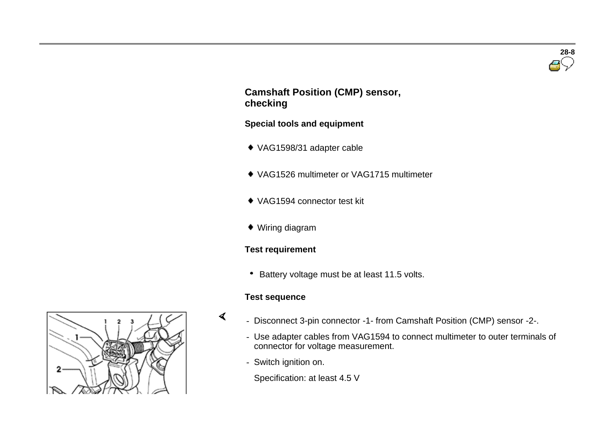

#### **Camshaft Position (CMP) sensor, checking**

#### **Special tools and equipment**

- VAG1598/31 adapter cable
- VAG1526 multimeter or VAG1715 multimeter
- VAG1594 connector test kit
- Wiring diagram

#### **Test requirement**

• Battery voltage must be at least 11.5 volts.

#### **Test sequence**

 $\blacktriangleleft$ 

- Disconnect 3-pin connector -1- from Camshaft Position (CMP) sensor -2-.
	- Use adapter cables from VAG1594 to connect multimeter to outer terminals of connector for voltage measurement.
	- Switch ignition on.
		- Specification: at least 4.5 V

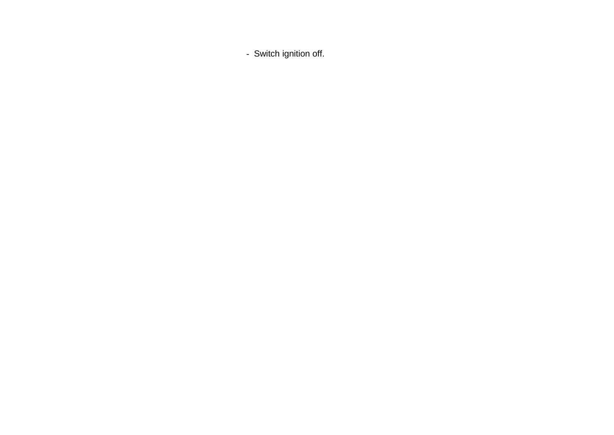- Switch ignition off.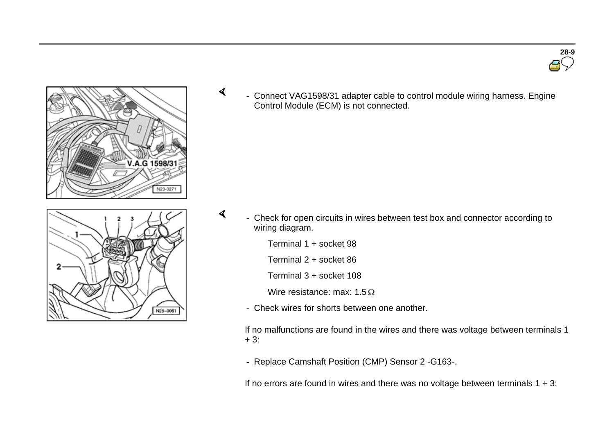





 $\blacktriangleleft$  - Connect VAG1598/31 adapter cable to control module wiring harness. Engine Control Module (ECM) is not connected.

- Check for open circuits in wires between test box and connector according to wiring diagram.
	- Terminal 1 + socket 98

 $\blacktriangleleft$ 

- Terminal 2 + socket 86
- Terminal 3 + socket 108
- Wire resistance: max:  $1.5 \Omega$
- Check wires for shorts between one another.

If no malfunctions are found in the wires and there was voltage between terminals 1  $+ 3:$ 

- Replace Camshaft Position (CMP) Sensor 2 -G163-.

If no errors are found in wires and there was no voltage between terminals  $1 + 3$ :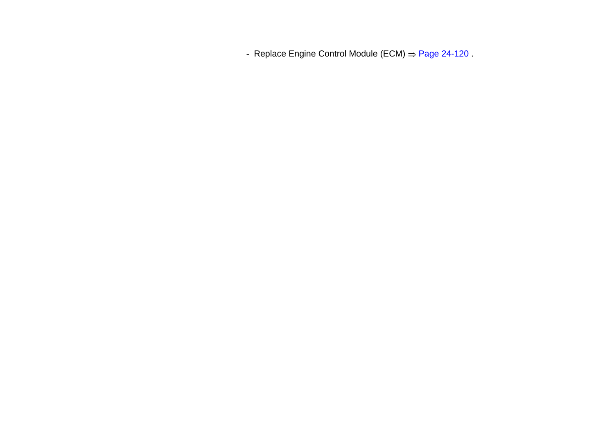- Replace Engine Control Module (ECM) = Page 24-120.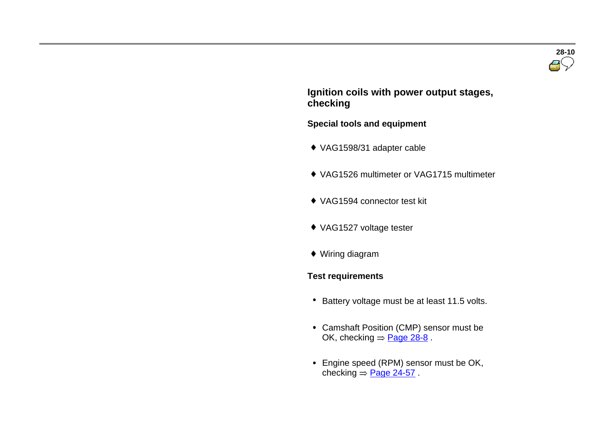#### **Ignition coils with power output stages, checking**

#### **Special tools and equipment**

- VAG1598/31 adapter cable
- VAG1526 multimeter or VAG1715 multimeter
- VAG1594 connector test kit
- VAG1527 voltage tester
- Wiring diagram

#### **Test requirements**

- \* Battery voltage must be at least 11.5 volts.
- Camshaft Position (CMP) sensor must be OK, checking  $=$  Page 28-8.
- Engine speed (RPM) sensor must be OK, checking  $=$  Page 24-57.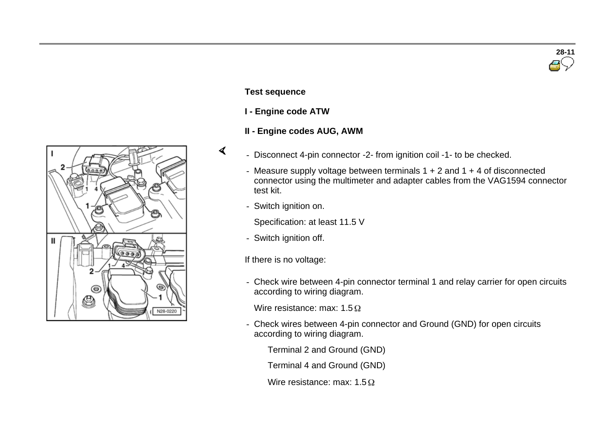

#### **Test sequence**

- **I - Engine code ATW**
- **II - Engine codes AUG, AWM**
- $\blacktriangleleft$
- Disconnect 4-pin connector -2- from ignition coil -1- to be checked.
- Measure supply voltage between terminals  $1 + 2$  and  $1 + 4$  of disconnected connector using the multimeter and adapter cables from the VAG1594 connector test kit.
- Switch ignition on.
	- Specification: at least 11.5 V
- Switch ignition off.
- If there is no voltage:
- Check wire between 4-pin connector terminal 1 and relay carrier for open circuits according to wiring diagram.

Wire resistance: max:  $1.5 \Omega$ 

- Check wires between 4-pin connector and Ground (GND) for open circuits according to wiring diagram.

Terminal 2 and Ground (GND)

Terminal 4 and Ground (GND)

Wire resistance: max:  $1.5 \Omega$ 

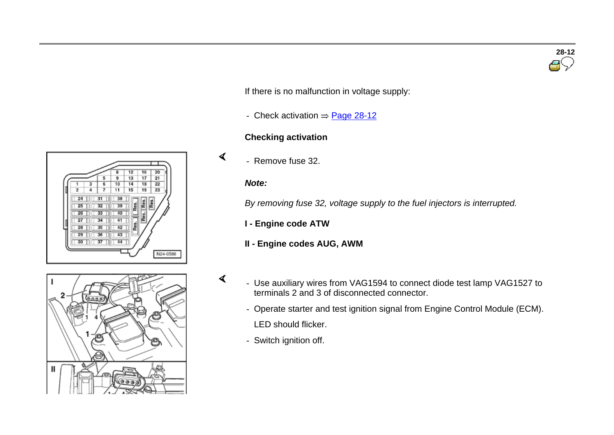**28-12**

If there is no malfunction in voltage supply:

- Check activation  $=$  Page 28-12

#### **Checking activation**

- Remove fuse 32.

#### *Note:*

 $\blacktriangleleft$ 

 $\blacktriangleleft$ 

*By removing fuse 32, voltage supply to the fuel injectors is interrupted.*

**I - Engine code ATW** 

#### **II - Engine codes AUG, AWM**

- $\mathbf{I}$
- Use auxiliary wires from VAG1594 to connect diode test lamp VAG1527 to terminals 2 and 3 of disconnected connector.
	- Operate starter and test ignition signal from Engine Control Module (ECM). LED should flicker.
	- Switch ignition off.



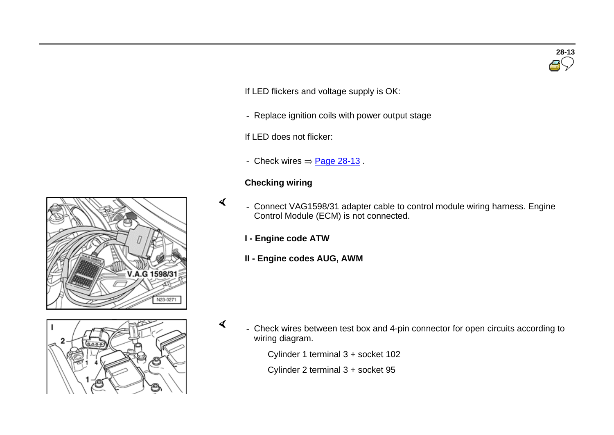If LED flickers and voltage supply is OK:

- Replace ignition coils with power output stage

If LED does not flicker:

- Check wires  $=$  Page 28-13.

#### **Checking wiring**

- Connect VAG1598/31 adapter cable to control module wiring harness. Engine Control Module (ECM) is not connected.
	- **I - Engine code ATW**
	- **II - Engine codes AUG, AWM**

 $\blacktriangleleft$ 

 $\blacktriangleleft$ 

 - Check wires between test box and 4-pin connector for open circuits according to wiring diagram.

Cylinder 1 terminal 3 + socket 102

Cylinder 2 terminal 3 + socket 95



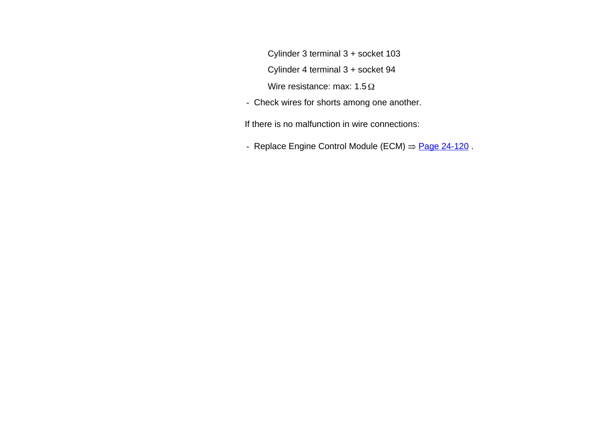Cylinder 3 terminal 3 + socket 103

Cylinder 4 terminal 3 + socket 94

Wire resistance: max:  $1.5 \Omega$ 

- Check wires for shorts among one another.

If there is no malfunction in wire connections:

- Replace Engine Control Module (ECM)  $\Rightarrow$  Page 24-120.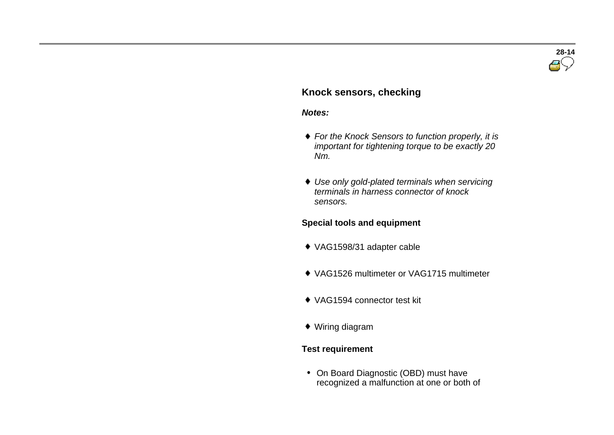

#### **Knock sensors, checking**

#### *Notes:*

- *For the Knock Sensors to function properly, it is important for tightening torque to be exactly 20 Nm.*
- *Use only gold-plated terminals when servicing terminals in harness connector of knock sensors.*

#### **Special tools and equipment**

- VAG1598/31 adapter cable
- VAG1526 multimeter or VAG1715 multimeter
- VAG1594 connector test kit
- Wiring diagram

#### **Test requirement**

• On Board Diagnostic (OBD) must have recognized a malfunction at one or both of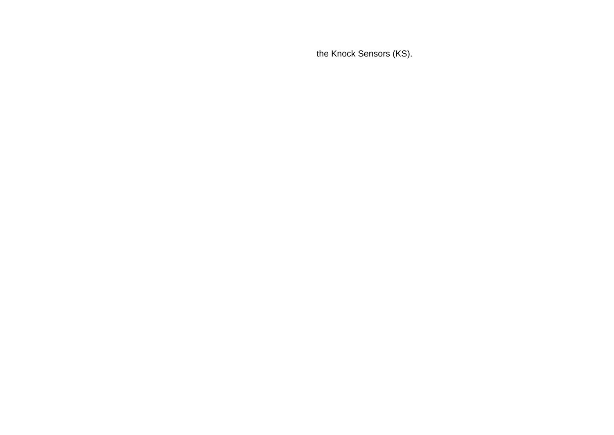the Knock Sensors (KS).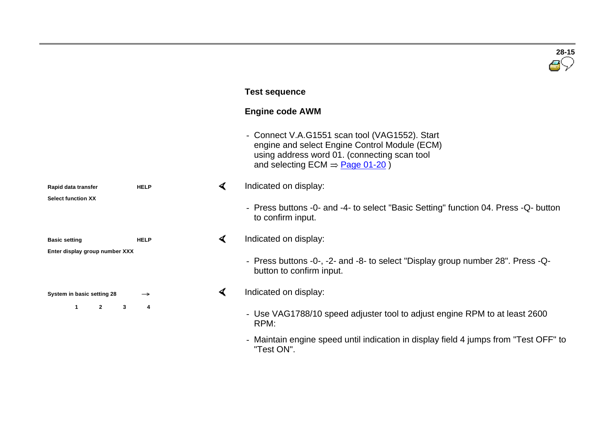|                                |             |                      | $28 - 15$                                                                                                                                                                                    |
|--------------------------------|-------------|----------------------|----------------------------------------------------------------------------------------------------------------------------------------------------------------------------------------------|
|                                |             |                      | <b>Test sequence</b>                                                                                                                                                                         |
|                                |             |                      | <b>Engine code AWM</b>                                                                                                                                                                       |
|                                |             |                      | Connect V.A.G1551 scan tool (VAG1552). Start<br>engine and select Engine Control Module (ECM)<br>using address word 01. (connecting scan tool<br>and selecting ECM $\Rightarrow$ Page 01-20) |
| Rapid data transfer            | <b>HELP</b> | $\blacktriangleleft$ | Indicated on display:                                                                                                                                                                        |
| <b>Select function XX</b>      |             |                      | - Press buttons -0- and -4- to select "Basic Setting" function 04. Press -Q- button<br>to confirm input.                                                                                     |
| <b>Basic setting</b>           | <b>HELP</b> | $\blacktriangleleft$ | Indicated on display:                                                                                                                                                                        |
| Enter display group number XXX |             |                      | - Press buttons -0-, -2- and -8- to select "Display group number 28". Press -Q-<br>button to confirm input.                                                                                  |
| System in basic setting 28     | →           | ∢                    | Indicated on display:                                                                                                                                                                        |
| $\mathbf{1}$<br>$\mathbf{2}$   | 3<br>4      |                      | - Use VAG1788/10 speed adjuster tool to adjust engine RPM to at least 2600<br>RPM:                                                                                                           |
|                                |             |                      | - Maintain engine speed until indication in display field 4 jumps from "Test OFF" to                                                                                                         |

"Test ON".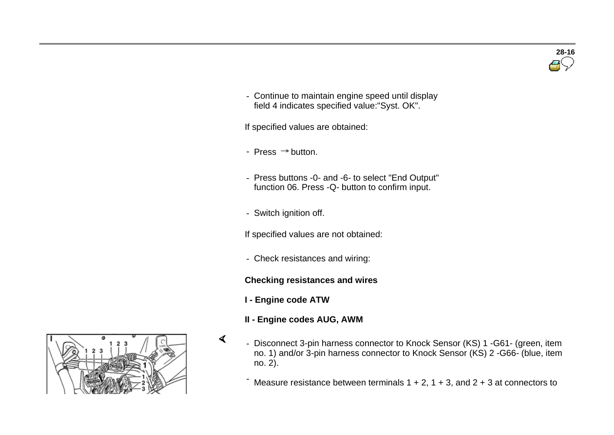

- Continue to maintain engine speed until display field 4 indicates specified value:"Syst. OK".

If specified values are obtained:

- Press  $\Rightarrow$  button.
- Press buttons -0- and -6- to select "End Output" function 06. Press -Q- button to confirm input.
- Switch ignition off.

If specified values are not obtained:

- Check resistances and wiring:

#### **Checking resistances and wires**

**I - Engine code ATW** 

 $\mathcal{A}$ 

- **II - Engine codes AUG, AWM**
- Disconnect 3-pin harness connector to Knock Sensor (KS) 1 -G61- (green, item no. 1) and/or 3-pin harness connector to Knock Sensor (KS) 2 -G66- (blue, item no. 2).

Measure resistance between terminals  $1 + 2$ ,  $1 + 3$ , and  $2 + 3$  at connectors to

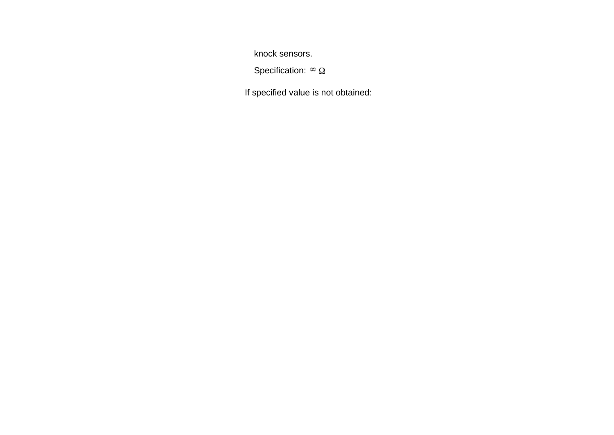knock sensors.

Specification:  ${}^{\infty}$   $\Omega$ 

If specified value is not obtained: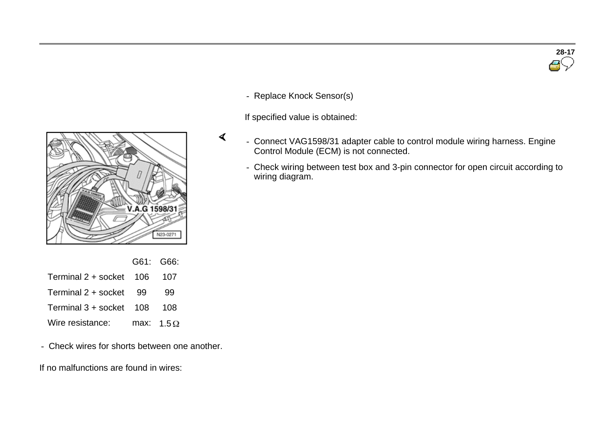

- Replace Knock Sensor(s)

If specified value is obtained:



- Check wiring between test box and 3-pin connector for open circuit according to wiring diagram.



|                         |     | G61: G66:         |
|-------------------------|-----|-------------------|
| Terminal 2 + socket 106 |     | 107               |
| Terminal 2 + socket     | -99 | 99                |
| Terminal 3 + socket 108 |     | 108               |
| Wire resistance:        |     | max: $1.5 \Omega$ |

- Check wires for shorts between one another.

If no malfunctions are found in wires: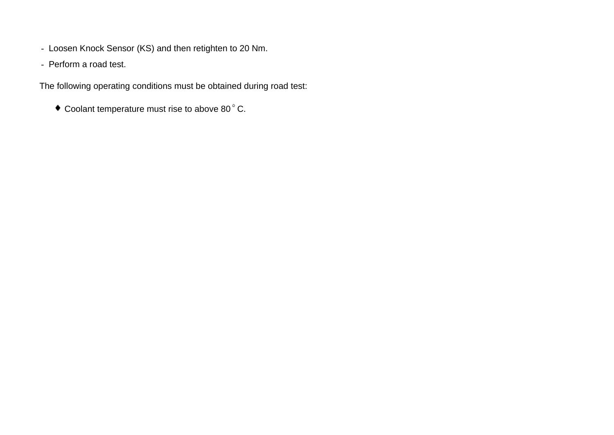- Loosen Knock Sensor (KS) and then retighten to 20 Nm.
- Perform a road test.

The following operating conditions must be obtained during road test:

 $\bullet$  Coolant temperature must rise to above 80 $^{\circ}$  C.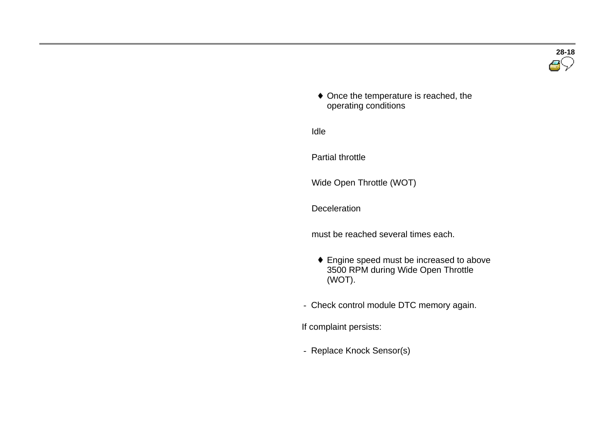

 $\bullet$  Once the temperature is reached, the operating conditions

Idle

Partial throttle

Wide Open Throttle (WOT)

**Deceleration** 

must be reached several times each.

- Engine speed must be increased to above 3500 RPM during Wide Open Throttle (WOT).
- Check control module DTC memory again.

If complaint persists:

- Replace Knock Sensor(s)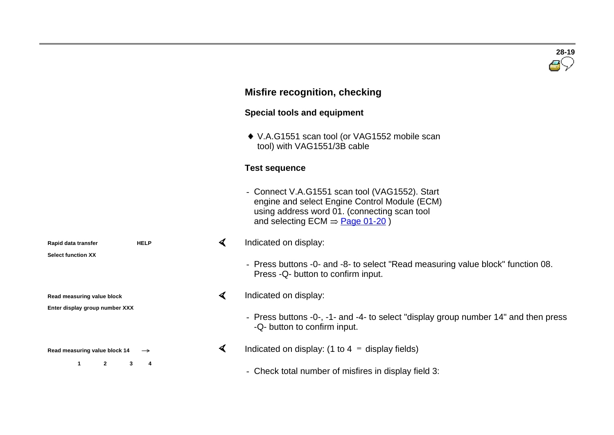# **28-19**

### **Misfire recognition, checking**

#### **Special tools and equipment**

◆ V.A.G1551 scan tool (or VAG1552 mobile scan tool) with VAG1551/3B cable

#### **Test sequence**

- Connect V.A.G1551 scan tool (VAG1552). Start engine and select Engine Control Module (ECM) using address word 01. (connecting scan tool and selecting  $ECM \Rightarrow \text{Page } 01-20$ )

#### Indicated on display:  $\blacktriangleleft$

- Press buttons -0- and -8- to select "Read measuring value block" function 08. Press -Q- button to confirm input.

#### $\blacktriangleleft$ Indicated on display:

- Press buttons -0-, -1- and -4- to select "display group number 14" and then press -Q- button to confirm input.
- $\blacktriangleleft$ Indicated on display: (1 to  $4 =$  display fields)
	- Check total number of misfires in display field 3:

**Rapid data transfer HELP Select function XX**

**Read measuring value block**

**Enter display group number XXX**

**Read measuring value block 14** 

**1 2 3 4**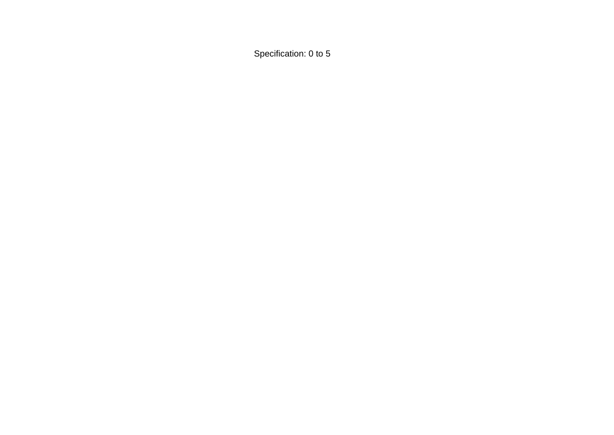Specification: 0 to 5